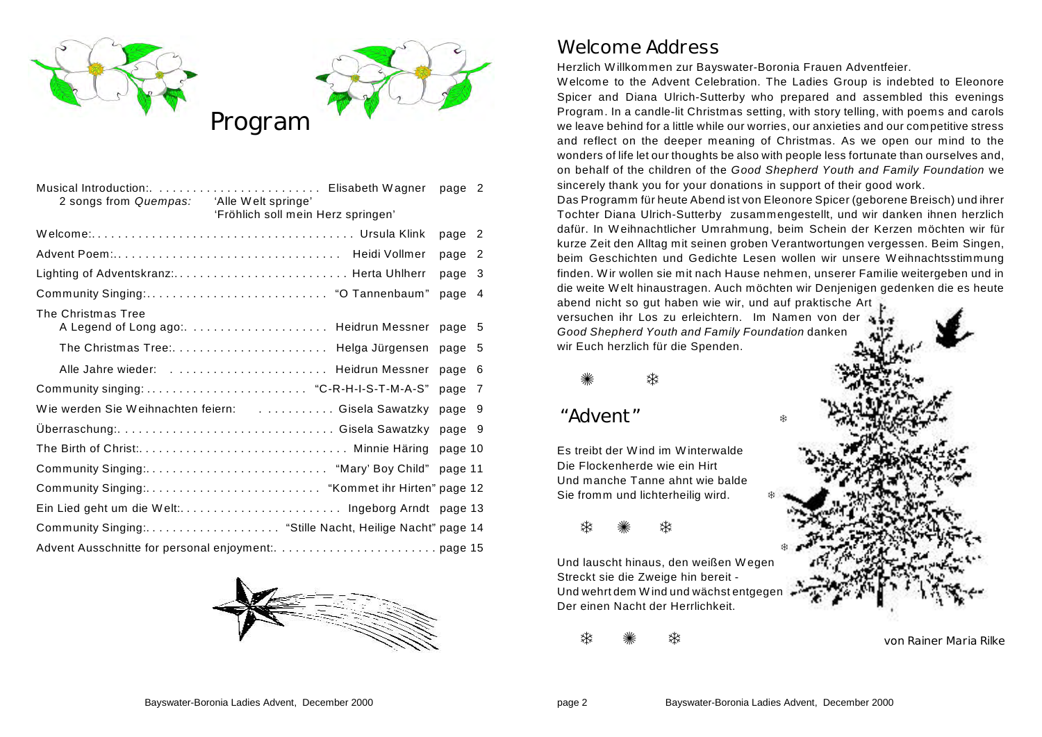

|                                                          |                                                    | page 2  |   |
|----------------------------------------------------------|----------------------------------------------------|---------|---|
| 2 songs from Quempas: 'Alle Welt springe'                | 'Fröhlich soll mein Herz springen'                 |         |   |
|                                                          |                                                    | page 2  |   |
|                                                          |                                                    | page 2  |   |
|                                                          | Lighting of Adventskranz: Herta Uhlherr            | page 3  |   |
|                                                          |                                                    | page 4  |   |
| The Christmas Tree                                       |                                                    |         |   |
|                                                          |                                                    | page 5  |   |
|                                                          |                                                    | page 5  |   |
|                                                          |                                                    | page    | 6 |
|                                                          |                                                    | page 7  |   |
|                                                          | Wie werden Sie Weihnachten feiern: Gisela Sawatzky | page 9  |   |
|                                                          |                                                    | page 9  |   |
|                                                          |                                                    | page 10 |   |
|                                                          | Community Singing: "Mary' Boy Child"               | page 11 |   |
| Community Singing: "Kommet ihr Hirten" page 12           |                                                    |         |   |
|                                                          | Ein Lied geht um die Welt: Ingeborg Arndt page 13  |         |   |
| Community Singing: "Stille Nacht, Heilige Nacht" page 14 |                                                    |         |   |
|                                                          |                                                    |         |   |



## Welcome Address

Herzlich W illkommen zur Bayswater-Boronia Frauen Adventfeier.

W elcome to the Advent Celebration. The Ladies Group is indebted to Eleonore Spicer and Diana Ulrich-Sutterby who prepared and assembled this evenings Program. In a candle-lit Christmas setting, with story telling, with poems and carols we leave behind for a little while our worries, our anxieties and our competitive stress and reflect on the deeper meaning of Christmas. As we open our mind to the wonders of life let our thoughts be also with people less fortunate than ourselves and, on behalf of the children of the *Good Shepherd Youth and Family Foundation* we sincerely thank you for your donations in support of their good work.

Das Programm für heute Abend ist von Eleonore Spicer (geborene Breisch) und ihrer Tochter Diana Ulrich-Sutterby zusammengestellt, und wir danken ihnen herzlich dafür. In W eihnachtlicher Umrahmung, beim Schein der Kerzen möchten wir für kurze Zeit den Alltag mit seinen groben Verantwortungen vergessen. Beim Singen, beim Geschichten und Gedichte Lesen wollen wir unsere W eihnachtsstimmung finden. W ir wollen sie mit nach Hause nehmen, unserer Familie weitergeben und in die weite W elt hinaustragen. Auch möchten wir Denjenigen gedenken die es heute abend nicht so gut haben wie wir, und auf praktische Art

versuchen ihr Los zu erleichtern. Im Namen von der *Good Shepherd Youth and Family Foundation* danken wir Euch herzlich für die Spenden.

\*\* \*

### "Advent"

Es treibt der W ind im W interwalde Die Flockenherde wie ein Hirt Und manche Tanne ahnt wie balde Sie fromm und lichterheilig wird.

**\*\*** \*\*

Und lauscht hinaus, den weißen W egen Streckt sie die Zweige hin bereit - Und wehrt dem W ind und wächst entgegen Der einen Nacht der Herrlichkeit.



{ von Rainer Maria Rilke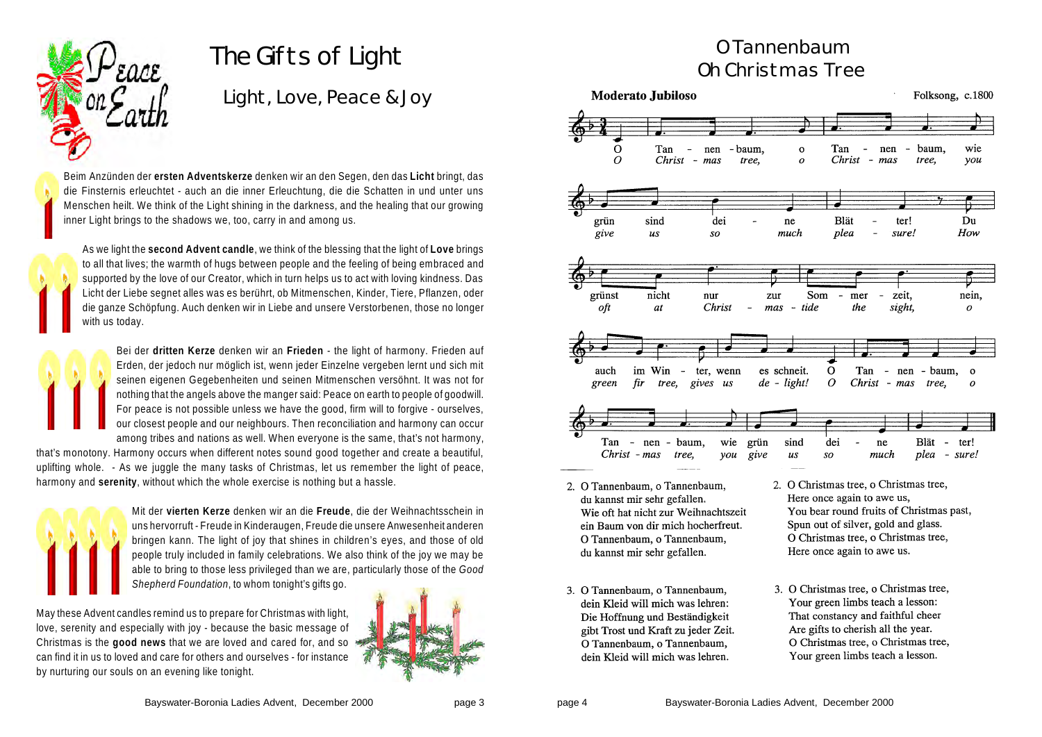

# The Gifts of Light Light, Love, Peace & Joy

Beim Anzünden der **ersten Adventskerze** denken wir an den Segen, den das **Licht** bringt, das die Finsternis erleuchtet - auch an die inner Erleuchtung, die die Schatten in und unter uns Menschen heilt. We think of the Light shining in the darkness, and the healing that our growing inner Light brings to the shadows we, too, carry in and among us.

As we light the **second Advent candle**, we think of the blessing that the light of **Love** brings to all that lives; the warmth of hugs between people and the feeling of being embraced and supported by the love of our Creator, which in turn helps us to act with loving kindness. Das Licht der Liebe segnet alles was es berührt, ob Mitmenschen, Kinder, Tiere, Pflanzen, oder die ganze Schöpfung. Auch denken wir in Liebe and unsere Verstorbenen, those no longer with us today.

Bei der **dritten Kerze** denken wir an **Frieden** - the light of harmony. Frieden auf Erden, der jedoch nur möglich ist, wenn jeder Einzelne vergeben lernt und sich mit seinen eigenen Gegebenheiten und seinen Mitmenschen versöhnt. It was not for nothing that the angels above the manger said: Peace on earth to people of goodwill. For peace is not possible unless we have the good, firm will to forgive - ourselves, our closest people and our neighbours. Then reconciliation and harmony can occur among tribes and nations as well. When everyone is the same, that's not harmony,

that's monotony. Harmony occurs when different notes sound good together and create a beautiful, uplifting whole. - As we juggle the many tasks of Christmas, let us remember the light of peace, harmony and **serenity**, without which the whole exercise is nothing but a hassle.



Mit der **vierten Kerze** denken wir an die **Freude**, die der Weihnachtsschein in uns hervorruft - Freude in Kinderaugen, Freude die unsere Anwesenheit anderen bringen kann. The light of joy that shines in children's eyes, and those of old people truly included in family celebrations. We also think of the joy we may be able to bring to those less privileged than we are, particularly those of the *Good Shepherd Foundation*, to whom tonight's gifts go.

May these Advent candles remind us to prepare for Christmas with light, love, serenity and especially with joy - because the basic message of Christmas is the **good news** that we are loved and cared for, and so can find it in us to loved and care for others and ourselves - for instance by nurturing our souls on an evening like tonight.



# O Tannenbaum Oh Christmas Tree



- 2. O Tannenbaum, o Tannenbaum, du kannst mir sehr gefallen. Wie oft hat nicht zur Weihnachtszeit ein Baum von dir mich hocherfreut. O Tannenbaum, o Tannenbaum, du kannst mir sehr gefallen.
- 3. O Tannenbaum, o Tannenbaum, dein Kleid will mich was lehren: Die Hoffnung und Beständigkeit gibt Trost und Kraft zu jeder Zeit. O Tannenbaum, o Tannenbaum, dein Kleid will mich was lehren.
- 2. O Christmas tree, o Christmas tree, Here once again to awe us, You bear round fruits of Christmas past, Spun out of silver, gold and glass. O Christmas tree, o Christmas tree, Here once again to awe us.
- 3. O Christmas tree, o Christmas tree, Your green limbs teach a lesson: That constancy and faithful cheer Are gifts to cherish all the year. O Christmas tree, o Christmas tree, Your green limbs teach a lesson.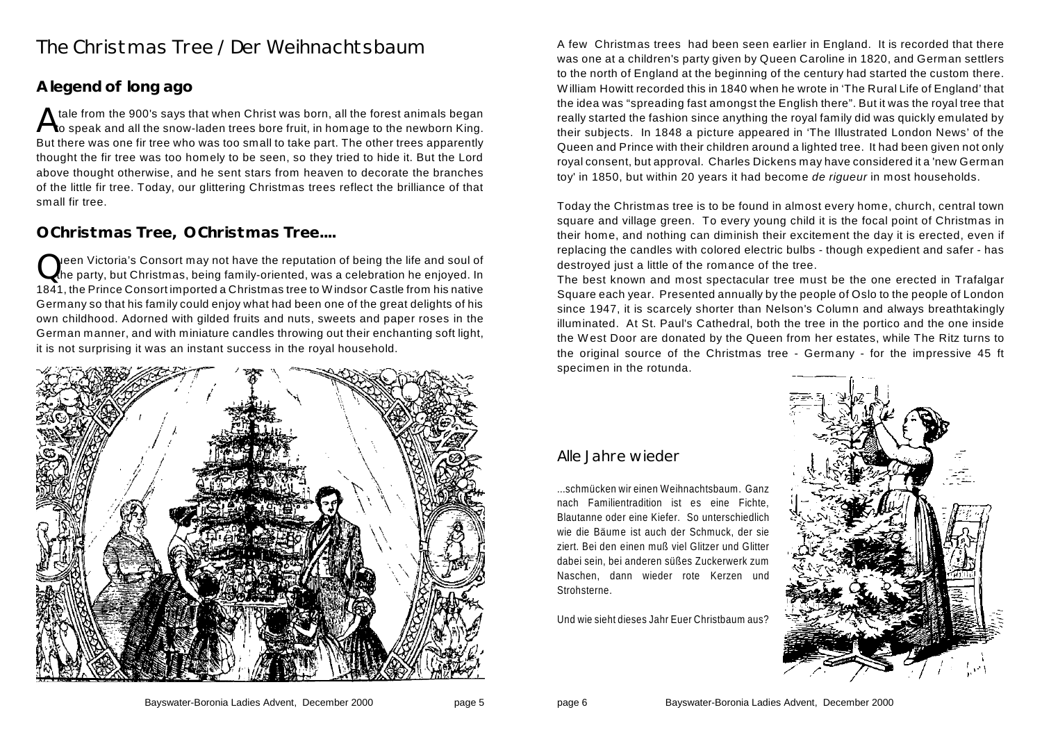# The Christmas Tree / Der Weihnachtsbaum

### **A legend of long ago**

 $A$  tale from the 900's says that when Christ was born, all the forest animals began<br>Ato speak and all the snow-laden trees bore fruit, in homage to the newborn King. tale from the 900's says that when Christ was born, all the forest animals began But there was one fir tree who was too small to take part. The other trees apparently thought the fir tree was too homely to be seen, so they tried to hide it. But the Lord above thought otherwise, and he sent stars from heaven to decorate the branches of the little fir tree. Today, our glittering Christmas trees reflect the brilliance of that small fir tree.

### **O Christmas Tree, O Christmas Tree....**

 $\bf Q$ ueen Victoria's Consort may not have the reputation of being the life and soul of the party, but Christmas, being family-oriented, was a celebration he enjoyed. In lueen Victoria's Consort may not have the reputation of being the life and soul of 1841, the Prince Consort imported a Christmas tree to W indsor Castle from his native Germany so that his family could enjoy what had been one of the great delights of his own childhood. Adorned with gilded fruits and nuts, sweets and paper roses in the German manner, and with miniature candles throwing out their enchanting soft light, it is not surprising it was an instant success in the royal household.



A few Christmas trees had been seen earlier in England. It is recorded that there was one at a children's party given by Queen Caroline in 1820, and German settlers to the north of England at the beginning of the century had started the custom there. W illiam Howitt recorded this in 1840 when he wrote in 'The Rural Life of England' that the idea was "spreading fast amongst the English there". But it was the royal tree that really started the fashion since anything the royal family did was quickly emulated by their subjects. In 1848 a picture appeared in 'The Illustrated London News' of the Queen and Prince with their children around a lighted tree. It had been given not only royal consent, but approval. Charles Dickens may have considered it a 'new German toy' in 1850, but within 20 years it had become *de rigueur* in most households.

Today the Christmas tree is to be found in almost every home, church, central town square and village green. To every young child it is the focal point of Christmas in their home, and nothing can diminish their excitement the day it is erected, even if replacing the candles with colored electric bulbs - though expedient and safer - has destroyed just a little of the romance of the tree.

The best known and most spectacular tree must be the one erected in Trafalgar Square each year. Presented annually by the people of Oslo to the people of London since 1947, it is scarcely shorter than Nelson's Column and always breathtakingly illuminated. At St. Paul's Cathedral, both the tree in the portico and the one inside the W est Door are donated by the Queen from her estates, while The Ritz turns to the original source of the Christmas tree - Germany - for the impressive 45 ft specimen in the rotunda.

#### Alle Jahre wieder

...schmücken wir einen Weihnachtsbaum. Ganz nach Familientradition ist es eine Fichte, Blautanne oder eine Kiefer. So unterschiedlich wie die Bäume ist auch der Schmuck, der sie ziert. Bei den einen muß viel Glitzer und Glitter dabei sein, bei anderen süßes Zuckerwerk zum Naschen, dann wieder rote Kerzen und Strohsterne.

Und wie sieht dieses Jahr Euer Christbaum aus?

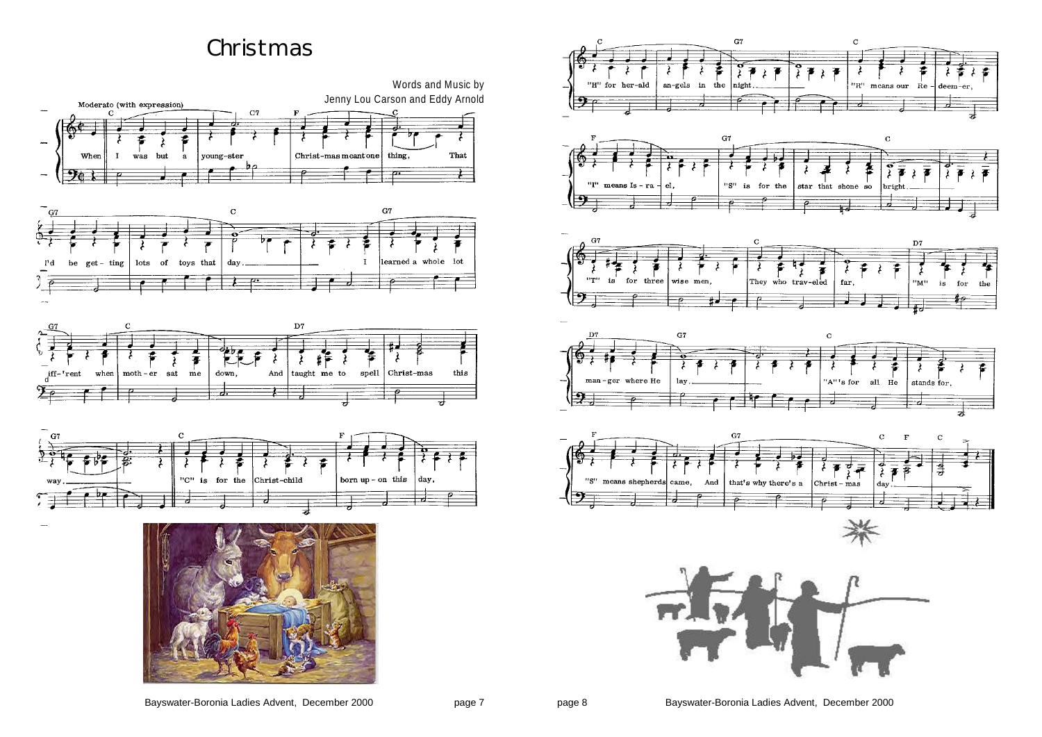# Christmas





Bayswater-Boronia Ladies Advent, December 2000 page 7





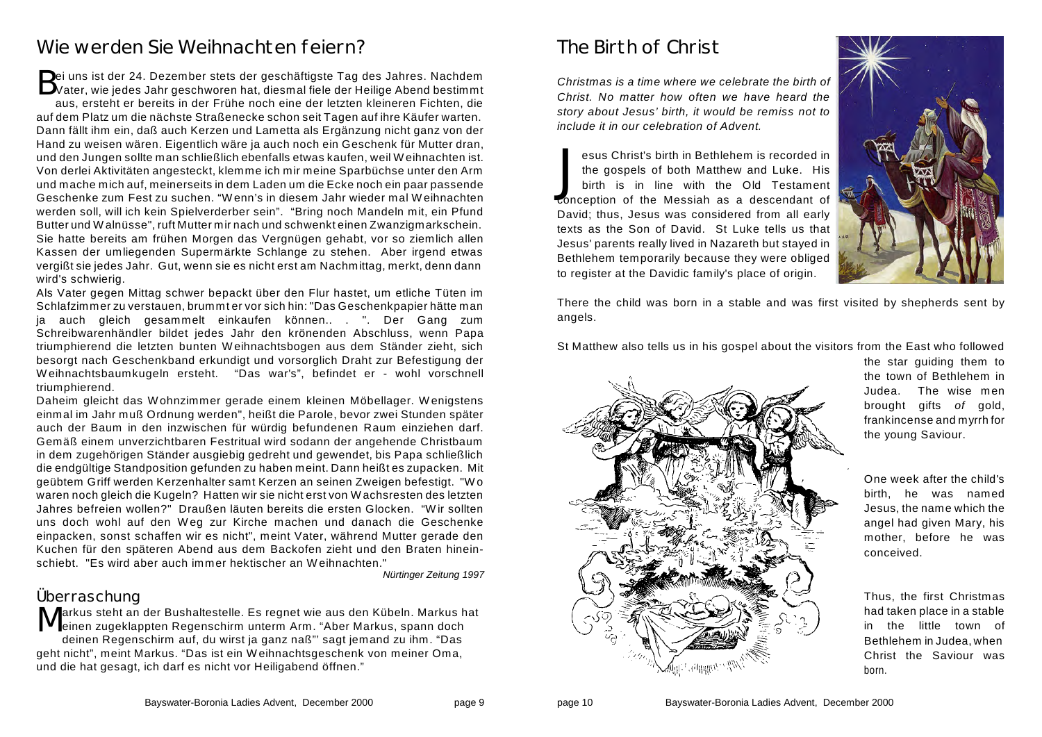# Wie werden Sie Weihnachten feiern?

Bei uns ist der 24. Dezember stets der geschäftigste Tag des Jahres. Nachdem<br>DVater, wie jedes Jahr geschworen hat, diesmal fiele der Heilige Abend bestimmt **D** ei uns ist der 24. Dezember stets der geschäftigste Tag des Jahres. Nachdem aus, ersteht er bereits in der Frühe noch eine der letzten kleineren Fichten, die auf dem Platz um die nächste Straßenecke schon seit Tagen auf ihre Käufer warten. Dann fällt ihm ein, daß auch Kerzen und Lametta als Ergänzung nicht ganz von der Hand zu weisen wären. Eigentlich wäre ja auch noch ein Geschenk für Mutter dran, und den Jungen sollte man schließlich ebenfalls etwas kaufen, weil W eihnachten ist. Von derlei Aktivitäten angesteckt, klemme ich mir meine Sparbüchse unter den Arm und mache mich auf, meinerseits in dem Laden um die Ecke noch ein paar passende Geschenke zum Fest zu suchen. "W enn's in diesem Jahr wieder mal W eihnachten werden soll, will ich kein Spielverderber sein". "Bring noch Mandeln mit, ein Pfund Butter und W alnüsse", ruft Mutter mir nach und schwenkt einen Zwanzigmarkschein. Sie hatte bereits am frühen Morgen das Vergnügen gehabt, vor so ziemlich allen Kassen der umliegenden Supermärkte Schlange zu stehen. Aber irgend etwas vergißt sie jedes Jahr. Gut, wenn sie es nicht erst am Nachmittag, merkt, denn dann wird's schwierig.

Als Vater gegen Mittag schwer bepackt über den Flur hastet, um etliche Tüten im Schlafzimmer zu verstauen, brummt er vor sich hin: "Das Geschenkpapier hätte man ja auch gleich gesammelt einkaufen können.. . ". Der Gang zum Schreibwarenhändler bildet jedes Jahr den krönenden Abschluss, wenn Papa triumphierend die letzten bunten W eihnachtsbogen aus dem Ständer zieht, sich besorgt nach Geschenkband erkundigt und vorsorglich Draht zur Befestigung der W eihnachtsbaumkugeln ersteht. "Das war's", befindet er - wohl vorschnell triumphierend.

Daheim gleicht das W ohnzimmer gerade einem kleinen Möbellager. W enigstens einmal im Jahr muß Ordnung werden", heißt die Parole, bevor zwei Stunden später auch der Baum in den inzwischen für würdig befundenen Raum einziehen darf. Gemäß einem unverzichtbaren Festritual wird sodann der angehende Christbaum in dem zugehörigen Ständer ausgiebig gedreht und gewendet, bis Papa schließlich die endgültige Standposition gefunden zu haben meint. Dann heißt es zupacken. Mit geübtem Griff werden Kerzenhalter samt Kerzen an seinen Zweigen befestigt. "W o waren noch gleich die Kugeln? Hatten wir sie nicht erst von W achsresten des letzten Jahres befreien wollen?" Draußen läuten bereits die ersten Glocken. "W ir sollten uns doch wohl auf den W eg zur Kirche machen und danach die Geschenke einpacken, sonst schaffen wir es nicht", meint Vater, während Mutter gerade den Kuchen für den späteren Abend aus dem Backofen zieht und den Braten hineinschiebt. "Es wird aber auch immer hektischer an W eihnachten."

*Nürtinger Zeitung 1997*

#### Überraschung

Markus steht an der Bushaltestelle. Es regnet wie aus den Kübeln. Markus hat einen zugeklappten Regenschirm unterm Arm. "Aber Markus, spann doch einen zugeklappten Regenschirm unterm Arm. "Aber Markus, spann doch deinen Regenschirm auf, du wirst ja ganz naß"' sagt jemand zu ihm. "Das geht nicht", meint Markus. "Das ist ein W eihnachtsgeschenk von meiner Oma, und die hat gesagt, ich darf es nicht vor Heiligabend öffnen."

# The Birth of Christ

*Christmas is a time where we celebrate the birth of Christ. No matter how often we have heard the story about Jesus' birth, it would be remiss not to include it in our celebration of Advent.*

esus Christ's birth in Bethlehem is recorded in<br>the gospels of both Matthew and Luke. His<br>birth is in line with the Old Testament<br>conception of the Messiah as a descendant of esus Christ's birth in Bethlehem is recorded in the gospels of both Matthew and Luke. His birth is in line with the Old Testament David; thus, Jesus was considered from all early texts as the Son of David. St Luke tells us that Jesus' parents really lived in Nazareth but stayed in Bethlehem temporarily because they were obliged to register at the Davidic family's place of origin.



There the child was born in a stable and was first visited by shepherds sent by angels.

St Matthew also tells us in his gospel about the visitors from the East who followed



the star guiding them to the town of Bethlehem in Judea. The wise men brought gifts *of* gold, frankincense and myrrh for the young Saviour.

One week after the child's birth, he was named Jesus, the name which the angel had given Mary, his mother, before he was conceived.

Thus, the first Christmas had taken place in a stable in the little town of Bethlehem in Judea, when Christ the Saviour was born.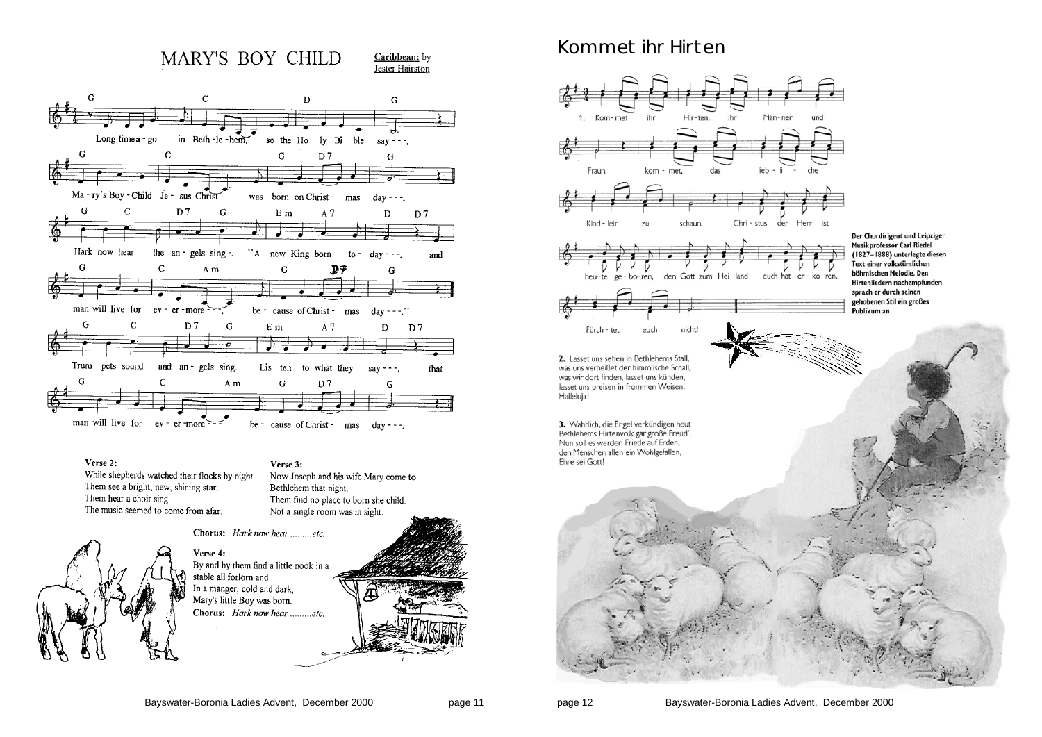

Verse 2: While shepherds watched their flocks by night Them see a bright, new, shining star. Them hear a choir sing. The music seemed to come from afar.

Verse 3: Now Joseph and his wife Mary come to Bethlehem that night. Them find no place to born she child. Not a single room was in sight.

Chorus: Hark now hear .........etc.



By and by them find a little nook in a stable all forlorn and In a manger, cold and dark, Mary's little Boy was born. Chorus: Hark now hear .........etc.

### Kommet ihr Hirten

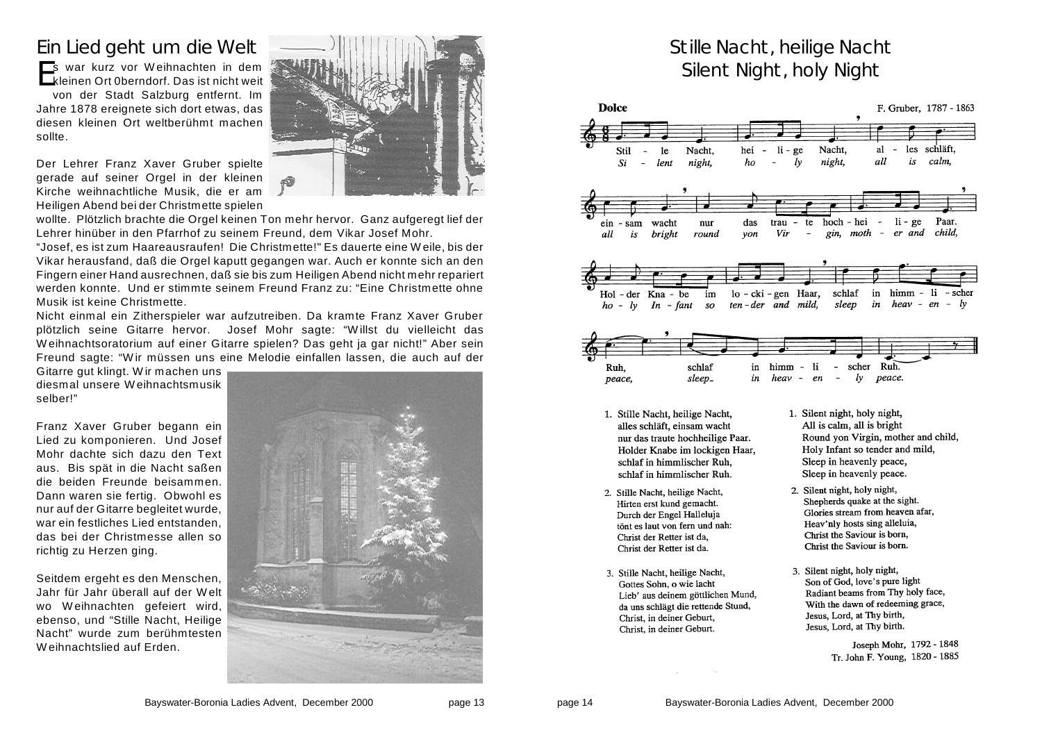# Ein Lied geht um die Welt

Es war kurz vor Weihnachten in dem<br>
Ekleinen Ort Oberndorf. Das ist nicht weit kleinen Ort 0berndorf. Das ist nicht weit von der Stadt Salzburg entfernt. Im Jahre 1878 ereignete sich dort etwas, das diesen kleinen Ort weltberühmt machen sollte.



Der Lehrer Franz Xaver Gruber spielte gerade auf seiner Orgel in der kleinen Kirche weihnachtliche Musik, die er am Heiligen Abend bei der Christmette spielen

wollte. Plötzlich brachte die Orgel keinen Ton mehr hervor. Ganz aufgeregt lief der Lehrer hinüber in den Pfarrhof zu seinem Freund, dem Vikar Josef Mohr.

"Josef, es ist zum Haareausraufen! Die Christmette!" Es dauerte eine W eile, bis der Vikar herausfand, daß die Orgel kaputt gegangen war. Auch er konnte sich an den Fingern einer Hand ausrechnen, daß sie bis zum Heiligen Abend nicht mehr repariert werden konnte. Und er stimmte seinem Freund Franz zu: "Eine Christmette ohne Musik ist keine Christmette.

Nicht einmal ein Zitherspieler war aufzutreiben. Da kramte Franz Xaver Gruber plötzlich seine Gitarre hervor. Josef Mohr sagte: "W illst du vielleicht das W eihnachtsoratorium auf einer Gitarre spielen? Das geht ja gar nicht!" Aber sein Freund sagte: "W ir müssen uns eine Melodie einfallen lassen, die auch auf der

Gitarre gut klingt. W ir machen uns diesmal unsere W eihnachtsmusik selber!"

Franz Xaver Gruber begann ein Lied zu komponieren. Und Josef Mohr dachte sich dazu den Text aus. Bis spät in die Nacht saßen die beiden Freunde beisammen. Dann waren sie fertig. Obwohl es nur auf der Gitarre begleitet wurde, war ein festliches Lied entstanden, das bei der Christmesse allen so richtig zu Herzen ging.

Seitdem ergeht es den Menschen, Jahr für Jahr überall auf der W elt wo W eihnachten gefeiert wird, ebenso, und "Stille Nacht, Heilige Nacht" wurde zum berühmtesten W eihnachtslied auf Erden.



# Stille Nacht, heilige Nacht Silent Night, holy Night



- nur das traute hochheilige Paar. Holder Knabe im lockigen Haar, schlaf in himmlischer Ruh. schlaf in himmlischer Ruh.
- 2. Stille Nacht, heilige Nacht, Hirten erst kund gemacht. Durch der Engel Halleluja tönt es laut von fern und nah: Christ der Retter ist da. Christ der Retter ist da.
- 3. Stille Nacht, heilige Nacht, Gottes Sohn, o wie lacht Lieb' aus deinem göttlichen Mund, da uns schlägt die rettende Stund, Christ, in deiner Geburt, Christ, in deiner Geburt.
- Holy Infant so tender and mild. Sleep in heavenly peace, Sleep in heavenly peace.
- 2. Silent night, holy night, Shepherds quake at the sight. Glories stream from heaven afar, Heav'nly hosts sing alleluia, Christ the Saviour is born, Christ the Saviour is born.
- 3. Silent night, holy night, Son of God, love's pure light Radiant beams from Thy holy face, With the dawn of redeeming grace, Jesus, Lord, at Thy birth, Jesus, Lord, at Thy birth.

Joseph Mohr, 1792 - 1848 Tr. John F. Young, 1820 - 1885